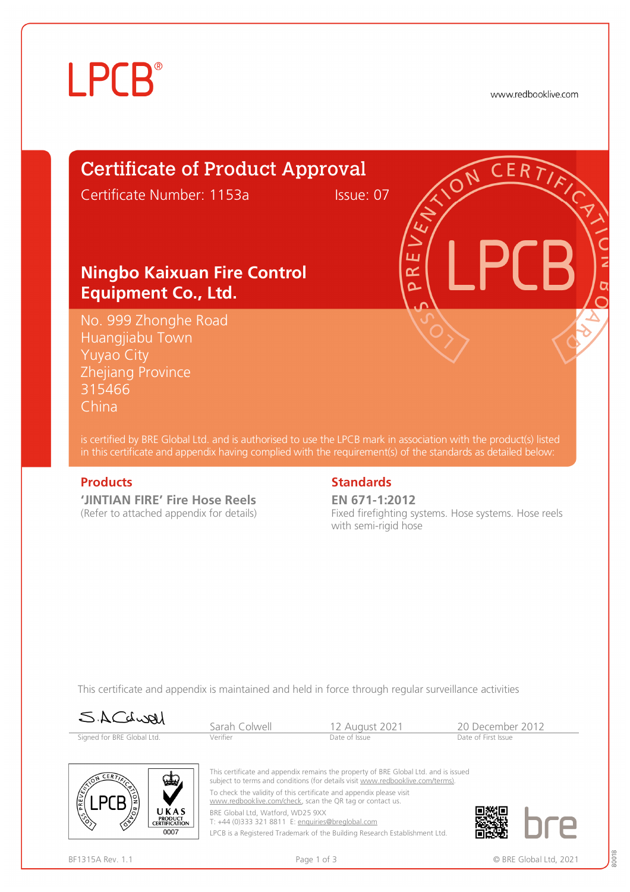# **LPCB**

www.redbooklive.com

### Certificate of Product Approval

Certificate Number: 1153a Issue: 07

ய œ Ò

#### **Ningbo Kaixuan Fire Control Equipment Co., Ltd.**

No. 999 Zhonghe Road Huangjiabu Town Yuyao City Zhejiang Province 315466 China

is certified by BRE Global Ltd. and is authorised to use the LPCB mark in association with the product(s) listed in this certificate and appendix having complied with the requirement(s) of the standards as detailed below:

**'JINTIAN FIRE' Fire Hose Reels**  (Refer to attached appendix for details)

#### **Products** Standards **Standards**

**EN 671-1:2012** Fixed firefighting systems. Hose systems. Hose reels with semi-rigid hose

This certificate and appendix is maintained and held in force through regular surveillance activities

Signed for BRE Global Ltd.

Sarah Colwell 12 August 2021 20 December 2012<br>
Verifier Date of Issue Chate of Issue Date of First Issue



This certificate and appendix remains the property of BRE Global Ltd. and is issued subject to terms and conditions (for details visit [www.redbooklive.com/terms\).](http://www.redbooklive.com/terms)) To check the validity of this certificate and appendix please visit

[www.redbooklive.com/check,](http://www.redbooklive.com/check) scan the QR tag or contact us. BRE Global Ltd, Watford, WD25 9XX

T: +44 (0)333 321 8811 E: [enquiries@breglobal.com](mailto:enquiries@breglobal.com)

LPCB is a Registered Trademark of the Building Research Establishment Ltd.

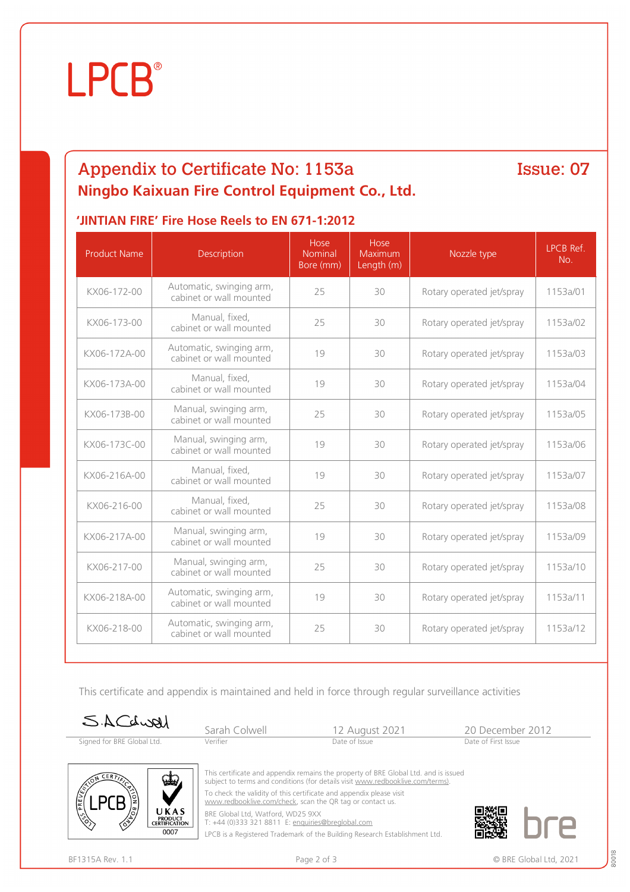# **LPCB**®

### Appendix to Certificate No: 1153a **Ningbo Kaixuan Fire Control Equipment Co., Ltd.**

#### Issue: 07

#### **'JINTIAN FIRE' Fire Hose Reels to EN 671-1:2012**

| <b>Product Name</b> | Description                                         | Hose<br><b>Nominal</b><br>Bore (mm) | Hose<br>Maximum<br>Length (m) | Nozzle type               | LPCB Ref.<br>No. |
|---------------------|-----------------------------------------------------|-------------------------------------|-------------------------------|---------------------------|------------------|
| KX06-172-00         | Automatic, swinging arm,<br>cabinet or wall mounted | 25                                  | 30                            | Rotary operated jet/spray | 1153a/01         |
| KX06-173-00         | Manual, fixed,<br>cabinet or wall mounted           | 25                                  | 30                            | Rotary operated jet/spray | 1153a/02         |
| KX06-172A-00        | Automatic, swinging arm,<br>cabinet or wall mounted | 19                                  | 30                            | Rotary operated jet/spray | 1153a/03         |
| KX06-173A-00        | Manual, fixed,<br>cabinet or wall mounted           | 19                                  | 30                            | Rotary operated jet/spray | 1153a/04         |
| KX06-173B-00        | Manual, swinging arm,<br>cabinet or wall mounted    | 25                                  | 30                            | Rotary operated jet/spray | 1153a/05         |
| KX06-173C-00        | Manual, swinging arm,<br>cabinet or wall mounted    | 19                                  | 30                            | Rotary operated jet/spray | 1153a/06         |
| KX06-216A-00        | Manual, fixed,<br>cabinet or wall mounted           | 19                                  | 30                            | Rotary operated jet/spray | 1153a/07         |
| KX06-216-00         | Manual, fixed,<br>cabinet or wall mounted           | 25                                  | 30                            | Rotary operated jet/spray | 1153a/08         |
| KX06-217A-00        | Manual, swinging arm,<br>cabinet or wall mounted    | 19                                  | 30                            | Rotary operated jet/spray | 1153a/09         |
| KX06-217-00         | Manual, swinging arm,<br>cabinet or wall mounted    | 25                                  | 30                            | Rotary operated jet/spray | 1153a/10         |
| KX06-218A-00        | Automatic, swinging arm,<br>cabinet or wall mounted | 19                                  | 30                            | Rotary operated jet/spray | 1153a/11         |
| KX06-218-00         | Automatic, swinging arm,<br>cabinet or wall mounted | 25                                  | 30                            | Rotary operated jet/spray | 1153a/12         |

This certificate and appendix is maintained and held in force through regular surveillance activities

| SACdwell                   | Sarah Colwell | 12 August 2021                                                                         | 20 December 2012    |
|----------------------------|---------------|----------------------------------------------------------------------------------------|---------------------|
| Signed for BRE Global Ltd. | Verifier      | Date of Issue                                                                          | Date of First Issue |
|                            |               |                                                                                        |                     |
|                            |               |                                                                                        |                     |
|                            |               | This sectificate and encountly remains the proposals of DDE Clobal Ltd. and is issued. |                     |



This certificate and appendix remains the property of BRE Global Ltd. and is issued subject to terms and conditions (for details visit [www.redbooklive.com/terms\).](http://www.redbooklive.com/terms)) To check the validity of this certificate and appendix please visit

[www.redbooklive.com/check](http://www.redbooklive.com/check), scan the QR tag or contact us.

BRE Global Ltd, Watford, WD25 9XX

T: +44 (0)333 321 8811 E: [enquiries@breglobal.com](mailto:enquiries@breglobal.com)

LPCB is a Registered Trademark of the Building Research Establishment Ltd.



80018